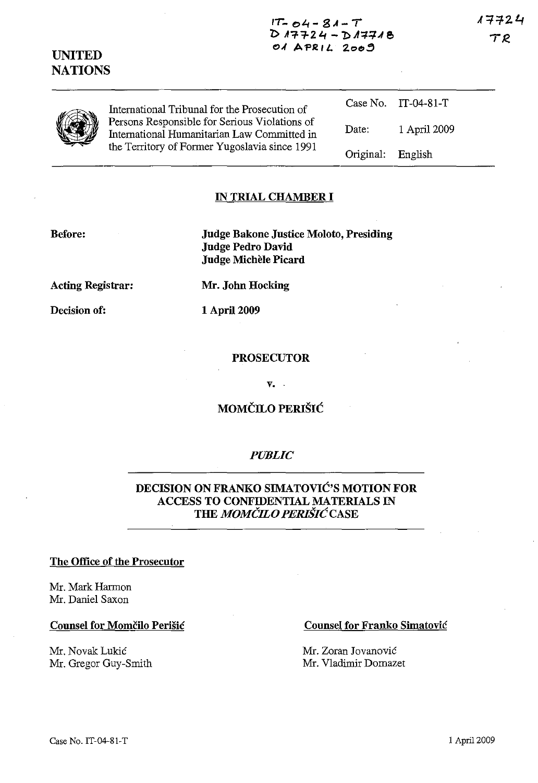17724 TR

 $IT - 04 - 81 - T$ **1> n7f24** *-1:>A':{.=f.A(!'*  **0,( APR I** *L.* :z.c>o~

| VAN | International Tribunal for the Prosecution of<br>Persons Responsible for Serious Violations of<br>International Humanitarian Law Committed in<br>the Territory of Former Yugoslavia since 1991 |                   | Case No. IT-04-81-T |
|-----|------------------------------------------------------------------------------------------------------------------------------------------------------------------------------------------------|-------------------|---------------------|
|     |                                                                                                                                                                                                | Date:             | 1 April 2009        |
|     |                                                                                                                                                                                                | Original: English |                     |

### **IN TRIAL CHAMBER I**

**Before:** 

**UNITED NATIONS** 

> **Judge Bakone Justice Moloto, Presiding Judge Pedro David Judge Michele Picard**

**Acting Registrar:** 

**Decision of:** 

**Mr. John Hocking** 

**1** April 2009

### **PROSECUTOR**

**v.** 

# **MOMCILO PERISIC**

### *PUBLIC*

### **DECISION ON FRANKO SIMATOVIC'S MOTION FOR ACCESS TO CONFIDENTIAL MATERIALS IN THE** *MOMCILO PERISICCASE*

#### **The Office of the Prosecutor**

Mr. Mark Harmon Mr. Daniel Saxon

#### **Counsel for Momčilo Perišić**

Mr. Novak Lukic Mr. Gregor Guy-Smith

#### **Counsel for Franko Simatovic**

Mr. Zoran Jovanovic Mr. Vladimir Domazet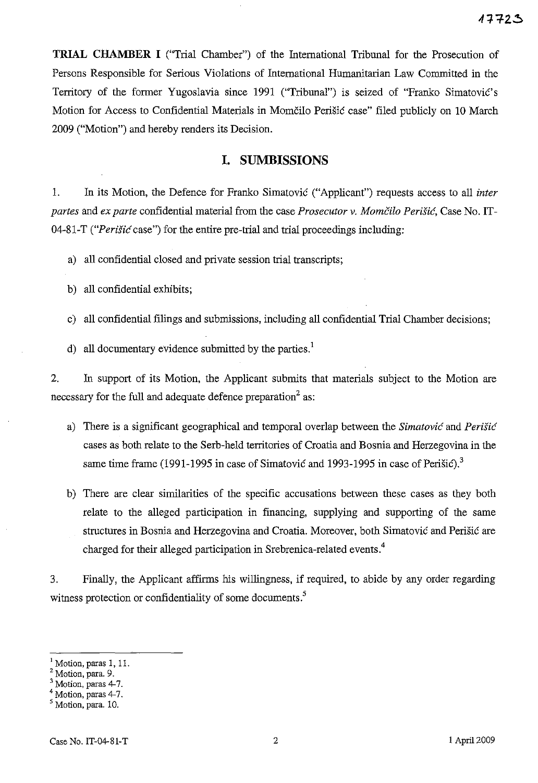**TRIAL CHAMBER I** ("Trial Chamber") of the International Tribunal for the Prosecution of Persons Responsible for Serious Violations of International Humanitarian Law Committed in the Territory of the former Yugoslavia since 1991 ("Tribunal") is seized of "Franko Simatovic's Motion for Access to Confidential Materials in Momcilo Perisic case" filed publicly on 10 March 2009 ("Motion") and hereby renders its Decision.

### **I. SUMBISSIONS**

1. In its Motion, the Defence for Franko Simatovic ("Applicant") requests access to all *inter partes* and *ex parte* confidential material from the case *Prosecutor* v. *Momcilo Perisic,* Case No. IT-04-81-T *("Perisic* case") for the entire pre-trial and trial proceedings including:

a) all confidential closed and private session trial transcripts;

b) all confidential exhibits;

c) all confidential filings and submissions, including all confidential Trial Chamber decisions;

d) all documentary evidence submitted by the parties.<sup>1</sup>

2. In support of its Motion, the Applicant submits that materials subject to the Motion are necessary for the full and adequate defence preparation<sup>2</sup> as:

- a) There is a significant geographical and temporal overlap between the *Simatovic* and *Perisic*  cases as both relate to the Serb-held territories of Croatia and Bosnia and Herzegovina in the same time frame (1991-1995 in case of Simatovic and 1993-1995 in case of Perišic).<sup>3</sup>
- b) There are clear similarities of the specific accusations between these cases as they both relate to the alleged participation in financing, supplying and supporting of the same structures in Bosnia and Herzegovina and Croatia. Moreover, both Simatovic and Perisic are charged for their alleged participation in Srebrenica-related events.<sup>4</sup>

3. Finally, the Applicant affirms his willingness, if required, to abide by any order regarding witness protection or confidentiality of some documents.<sup>5</sup>

<sup>I</sup>Motion, paras 1, II.

*<sup>Z</sup>*Motion, para. 9.

Motion, paras 4-7.

Motion, paras 4-7.

Motion, para. 10.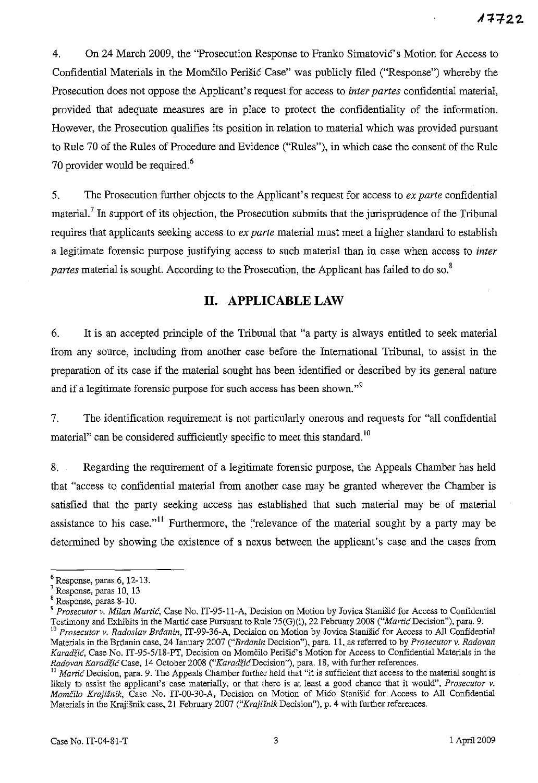4. On 24 March 2009, the "Prosecution Response to Franko Simatovic's Motion for Access to Confidential Materials in the Momčilo Perišić Case" was publicly filed ("Response") whereby the Prosecution does not oppose the Applicant's request for access to *inter partes* confidential material, provided that adequate measures are in place to protect the confidentiality of the information. However, the Prosecution qualifies its position in relation to material which was provided pursuant to Rule 70 of the Rules of Procedure and Evidence ("Rules"), in which case the consent of the Rule 70 provider would be required.<sup>6</sup>

5. The Prosecution further objects to the Applicant's request for access to *ex parte* confidential material.<sup>7</sup> In support of its objection, the Prosecution submits that the jurisprudence of the Tribunal requires that applicants seeking access to *ex parte* material must meet a higher standard to establish a legitimate forensic purpose justifying access to such material than in case when access to *inter partes* material is sought. According to the Prosecution, the Applicant has failed to do so.<sup>8</sup>

# **II. APPLICABLE LAW**

6. It is an accepted principle of the Tribunal that "a party is always entitled to seek material from any source, including from another case before the International Tribunal, to assist in the preparation of its case if the material sought has been identified or described by its general nature and if a legitimate forensic purpose for such access has been shown."<sup>9</sup>

7. The identification requirement is not particularly onerous and requests for "all confidential" material" can be considered sufficiently specific to meet this standard.<sup>10</sup>

8. Regarding the requirement of a legitimate forensic purpose, the Appeals Chamber has held that "access to confidential material from another case may be granted wherever the Chamber is satisfied that the party seeking access has established that such material may be of material assistance to his case."<sup>11</sup> Furthermore, the "relevance of the material sought by a party may be determined by showing the existence of a nexus between the applicant's case and the cases from

<sup>6</sup> Response, paras 6, 12-13.

Response, paras 10, 13

Response, paras 8-10.

<sup>9</sup>*Prosecutor v. Milan Martie,* Case No. IT-9S-11-A, Decision on Motion by Jovica Stanisie for Access to Confidential Testimony and Exhibits in the Martic case Pursuant to Rule 75(G)(i), 22 February 2008 ("Martic Decision"), para. 9.

<sup>10</sup>*Prosecutor v. Radoslav Brdanin,* IT-99-36-A, Decision on Motion by Jovica Stanisie for Access to All Confidential Materials in the Brdanin case, 24 January 2007 *("Brdanin* Decision"), para. 11, as referred to by *Prosecutor v. Radovan*  Karadžić, Case No. IT-95-5/18-PT, Decision on Momčilo Perišić's Motion for Access to Confidential Materials in the *Radovan Karadiie* Case, 14 October 2008 *("KaradiieDecision"),* para. 18, with further references.

*Martić* Decision, para. 9. The Appeals Chamber further held that "it is sufficient that access to the material sought is likely to assist the applicant's case materially, or that there is at least a good chance that it would", *Prosecutor v. Momcilo Krajisnik,* Case No. IT-00-30-A, Decision on Motion of Mieo Stanisie for Access to All Confidential Materials in the Krajisnik case, 21 February 2007 *("Krajisnik* Decision"), p. 4 with further references.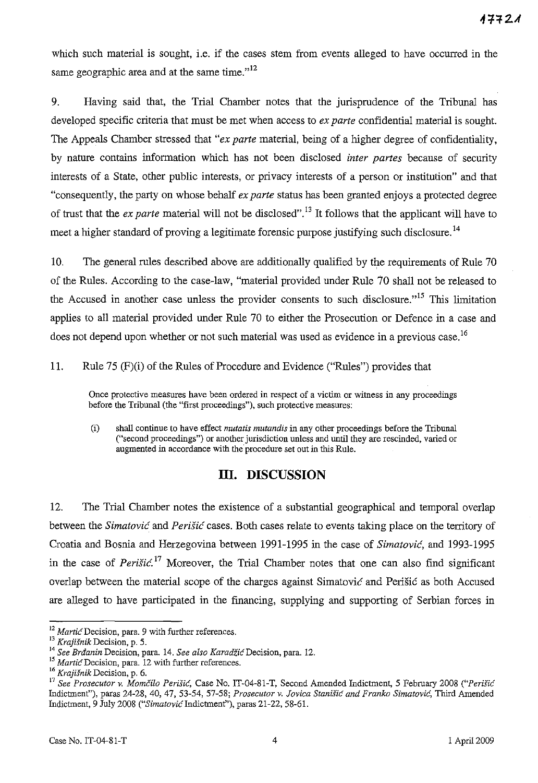which such material is sought, i.e. if the cases stem from events alleged to have occurred in the same geographic area and at the same time. $n^{12}$ 

9. Having said that, the Trial Chamber notes that the jurisprudence of the Tribunal has developed specific criteria that must be met when access to *ex parte* confidential material is sought. The Appeals Chamber stressed that *"ex parte* material, being of a higher degree of confidentiality, by nature contains information which has not been disclosed *inter partes* because of security interests of a State, other public interests, or privacy interests of a person or institution" and that "consequently, the party on whose behalf *ex parte* status has been granted enjoys a protected degree of trust that the *ex parte* material will not be disclosed".13 It follows that the applicant will have to meet a higher standard of proving a legitimate forensic purpose justifying such disclosure.<sup>14</sup>

10. The general rules described above are additionally qualified by the requirements of Rule 70 of the Rules. According to the case-law, "material provided under Rule 70 shall not be released to the Accused in another case unless the provider consents to such disclosure."<sup>15</sup> This limitation applies to all material provided under Rule 70 to either the Prosecution or Defence in a case and does not depend upon whether or not such material was used as evidence in a previous case.<sup>16</sup>

11. Rule 75 (F)(i) of the Rules of Procedure and Evidence ("Rules") provides that

**Once protective measures have been ordered in respect of a victim or witness in any proceedings**  before the Tribunal (the "first proceedings"), such protective measures:

(i) shall continue to have effect *mutatis mutandis* in any other proceedings before the Tribunal ("second proceedings") or another jurisdiction unless and until they are rescinded, varied or augmented in accordance with the procedure set out in this Rule.

## **III. DISCUSSION**

12. The Trial Chamber notes the existence of a substantial geographical and temporal overlap between the *Simatovic* and *Perisic* cases. Both cases relate to events taking place on the territory of Croatia and Bosnia and Herzegovina between 1991-1995 in the case of *Simatovic,* and 1993-1995 in the case of *Perišić*.<sup>17</sup> Moreover, the Trial Chamber notes that one can also find significant overlap between the material scope of the charges against Simatovic and Perišic as both Accused are alleged to have participated in the financing, supplying and supporting of Serbian forces in

**<sup>12</sup>***Martie* **Decision, para. 9 with further references.** 

**<sup>13</sup>***Krajisnik* **Decision, p. 5.** 

**<sup>14</sup>***See Brdanin* **Decision, para. 14.** *See also KaradiicDecision,* **para. 12.** 

**<sup>15</sup> Martie Decision, para. 12 with further references.** 

*<sup>16</sup> Krajisnik* Decision, p. 6.

*<sup>17</sup> See Prosecutor v. Momcilo Perisic,* Case No. IT-04-81-T, Second Amended Indictment, 5 February 2008 *("Perisic*  Indictment"), paras 24-28, 40, 47, 53-54, 57-58; *Prosecutor v. Jovica Stanišić and Franko Simatović*, Third Amended Indictment, 9 July 2008 *("SimatovicIndictment"),* paras 21-22,58-61.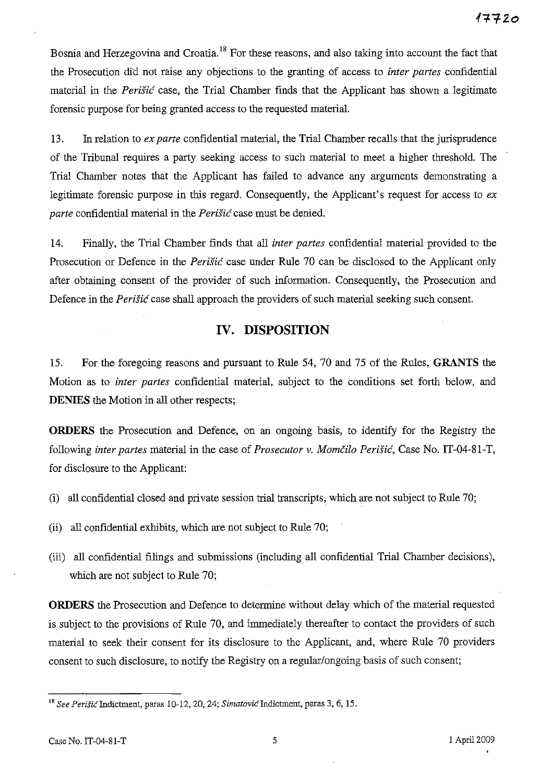Bosnia and Herzegovina and Croatia.<sup>18</sup> For these reasons, and also taking into account the fact that the Prosecution did not raise any objections to the granting of access to *inter partes* confidential material in the *Perisic* case, the Trial Chamber finds that the Applicant has shown a legitimate forensic purpose for being granted access to the requested material.

13. In relation to *ex parte* confidential material, the Trial Chamber recalls that the jurisprudence of the Tribunal requires a party seeking access to such material to meet a higher threshold. The Trial Chamber notes that the Applicant has failed to advance any arguments demonstrating a legitimate forensic purpose in this regard. Consequently, the Applicant's request for access to *ex parte* confidential material in the *Perisic* case must be denied.

14. Finally, the Trial Chamber finds that all *inter partes* confidential material provided to the Prosecution or Defence in the *Perisic* case under Rule 70 can be disclosed to the Applicant only after obtaining consent of the provider of such information. Consequently, the Prosecution and Defence in the *Perisic* case shall approach the providers of such material seeking such consent.

## **IV. DISPOSITION**

15. For the foregoing reasons and pursuant to Rule 54, 70 and 75 of the Rilles, **GRANTS** the Motion as to *inter partes* confidential material, subject to the conditions set forth below, and **DENIES** the Motion in all other respects;

**ORDERS** the Prosecution and Defence, on an ongoing basis, to identify for the Registry the following *inter partes* material in the case of *Prosecutor v. Momčilo Perišić*, Case No. IT-04-81-T, for disclosure to the Applicant:

- (i) all confidential closed and private session trial transcripts, which are not subject to Rule 70;
- (ii) all confidential exhibits, which are not subject to Rule 70;
- (iii) all confidential filings and submissions (including all confidential Trial Chamber decisions), which are not subject to Rule 70;

**ORDERS** the Prosecution and Defence to determine without delay which of the material requested is subject to the provisions of Rule 70, and immediately thereafter to contact the providers of such material to seek their consent for its disclosure to the Applicant, and, where Rule 70 providers consent to such disclosure, to notify the Registry on a regular/ongoing basis of such consent;

<sup>&</sup>lt;sup>18</sup> See Perišić Indictment, paras 10-12, 20, 24; *Simatović* Indictment, paras 3, 6, 15.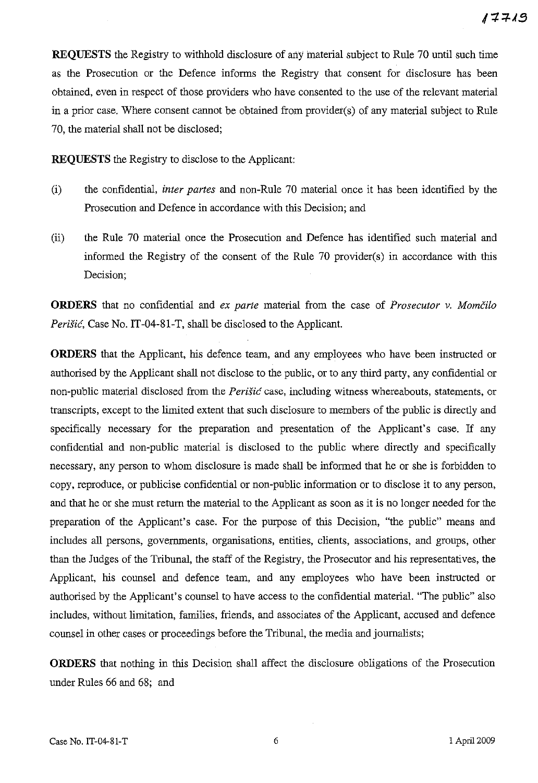**REQUESTS** the Registry to withhold disclosure of any material subject to Rule 70 until such time as the Prosecution or the Defence informs the Registry that consent for disclosure has been obtained, even in respect of those providers who have consented to the use of the relevant material in a prior case. Where consent cannot be obtained from provider(s) of any material subject to Rule 70, the material shall not be disclosed;

**REQUESTS** the Registry to disclose to the Applicant:

- (i) the confidential, *inter partes* and non-Rule 70 material once it has been identified by the Prosecution and Defence in accordance with this Decision; and
- (ii) the Rule 70 material once the Prosecution and Defence has identified such material and informed the Registry of the consent of the Rule 70 provider(s) in accordance with this Decision;

**ORDERS** that no confidential and *ex parte* material from the case of *Prosecutor* v. *Momcilo Perišić*, Case No. IT-04-81-T, shall be disclosed to the Applicant.

**ORDERS** that the Applicant, his defence team, and any employees who have been instructed or authorised by the Applicant shall not disclose to the public, or to any third party, any confidential or non-public material disclosed from the *Perišić* case, including witness whereabouts, statements, or transcripts, except to the limited extent that such disclosure to members of the public is directly and specifically necessary for the preparation and presentation of the Applicant's case. If any confidential and non-pUblic material is disclosed to the public where directly and specifically necessary, any person to whom disclosure is made shall be informed that he or she is forbidden to copy, reproduce, or publicise confidential or non-public information or to disclose it to any person, and that he or she must return the material to the Applicant as soon as it is no longer needed for the preparation of the Applicant's case. For the purpose of this Decision, "the public" means and includes all persons, governments, organisations, entities, clients, associations, and groups, other than the Judges of the Tribunal, the staff of the Registry, the Prosecutor and his representatives, the Applicant, his counsel and defence team, and any employees who have been instructed or authorised by the Applicant's counsel to have access to the confidential material. "The public" also includes, without limitation, families, friends, and associates of the Applicant, accused and defence counsel in other cases or proceedings before the Tribunal, the media and journalists;

**ORDERS** that nothing in this Decision shall affect the disclosure obligations of the Prosecution under Rules 66 and 68; and